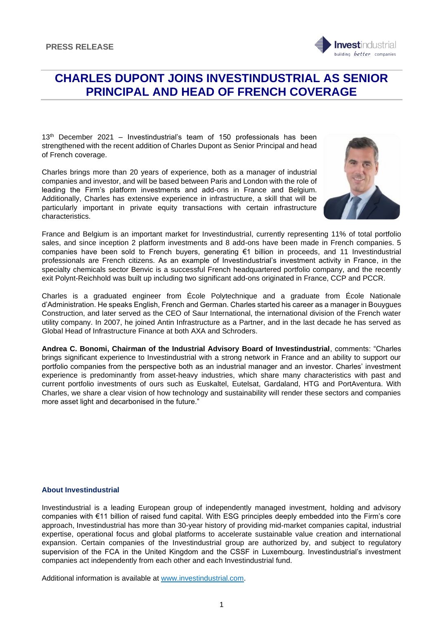

13<sup>th</sup> December 2021 – Investindustrial's team of 150 professionals has been strengthened with the recent addition of Charles Dupont as Senior Principal and head of French coverage.

Charles brings more than 20 years of experience, both as a manager of industrial companies and investor, and will be based between Paris and London with the role of leading the Firm's platform investments and add-ons in France and Belgium. Additionally, Charles has extensive experience in infrastructure, a skill that will be particularly important in private equity transactions with certain infrastructure characteristics.



nvestindustrial building *better* companies

France and Belgium is an important market for Investindustrial, currently representing 11% of total portfolio sales, and since inception 2 platform investments and 8 add-ons have been made in French companies. 5 companies have been sold to French buyers, generating €1 billion in proceeds, and 11 Investindustrial professionals are French citizens. As an example of Investindustrial's investment activity in France, in the specialty chemicals sector Benvic is a successful French headquartered portfolio company, and the recently exit Polynt-Reichhold was built up including two significant add-ons originated in France, CCP and PCCR.

Charles is a graduated engineer from École Polytechnique and a graduate from École Nationale d'Administration. He speaks English, French and German. Charles started his career as a manager in Bouygues Construction, and later served as the CEO of Saur International, the international division of the French water utility company. In 2007, he joined Antin Infrastructure as a Partner, and in the last decade he has served as Global Head of Infrastructure Finance at both AXA and Schroders.

**Andrea C. Bonomi, Chairman of the Industrial Advisory Board of Investindustrial**, comments: "Charles brings significant experience to Investindustrial with a strong network in France and an ability to support our portfolio companies from the perspective both as an industrial manager and an investor. Charles' investment experience is predominantly from asset-heavy industries, which share many characteristics with past and current portfolio investments of ours such as Euskaltel, Eutelsat, Gardaland, HTG and PortAventura. With Charles, we share a clear vision of how technology and sustainability will render these sectors and companies more asset light and decarbonised in the future."

## **About Investindustrial**

Investindustrial is a leading European group of independently managed investment, holding and advisory companies with €11 billion of raised fund capital. With ESG principles deeply embedded into the Firm's core approach, Investindustrial has more than 30-year history of providing mid-market companies capital, industrial expertise, operational focus and global platforms to accelerate sustainable value creation and international expansion. Certain companies of the Investindustrial group are authorized by, and subject to regulatory supervision of the FCA in the United Kingdom and the CSSF in Luxembourg. Investindustrial's investment companies act independently from each other and each Investindustrial fund.

Additional information is available at [www.investindustrial.com.](http://www.investindustrial.com/)